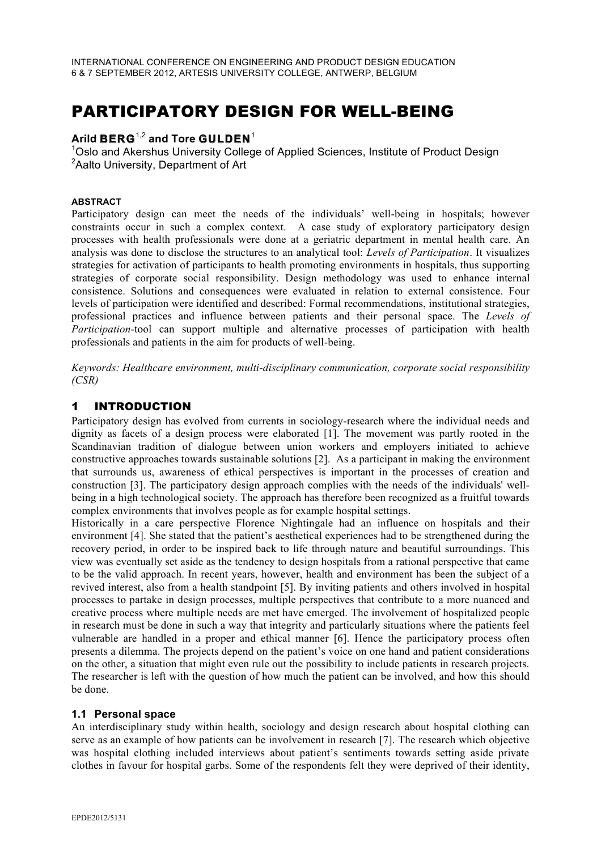# PARTICIPATORY DESIGN FOR WELL-BEING

# **Arild BERG**1,2 **and Tore GULDEN**<sup>1</sup> <sup>1</sup>

<sup>1</sup>Oslo and Akershus University College of Applied Sciences, Institute of Product Design <sup>2</sup> Aalto University, Department of Art

#### **ABSTRACT**

Participatory design can meet the needs of the individuals' well-being in hospitals; however constraints occur in such a complex context. A case study of exploratory participatory design processes with health professionals were done at a geriatric department in mental health care. An analysis was done to disclose the structures to an analytical tool: *Levels of Participation*. It visualizes strategies for activation of participants to health promoting environments in hospitals, thus supporting strategies of corporate social responsibility. Design methodology was used to enhance internal consistence. Solutions and consequences were evaluated in relation to external consistence. Four levels of participation were identified and described: Formal recommendations, institutional strategies, professional practices and influence between patients and their personal space. The *Levels of Participation*-tool can support multiple and alternative processes of participation with health professionals and patients in the aim for products of well-being.

*Keywords: Healthcare environment, multi-disciplinary communication, corporate social responsibility (CSR)*

## 1 INTRODUCTION

Participatory design has evolved from currents in sociology-research where the individual needs and dignity as facets of a design process were elaborated [1]. The movement was partly rooted in the Scandinavian tradition of dialogue between union workers and employers initiated to achieve constructive approaches towards sustainable solutions [2]. As a participant in making the environment that surrounds us, awareness of ethical perspectives is important in the processes of creation and construction [3]. The participatory design approach complies with the needs of the individuals' wellbeing in a high technological society. The approach has therefore been recognized as a fruitful towards complex environments that involves people as for example hospital settings.

Historically in a care perspective Florence Nightingale had an influence on hospitals and their environment [4]. She stated that the patient's aesthetical experiences had to be strengthened during the recovery period, in order to be inspired back to life through nature and beautiful surroundings. This view was eventually set aside as the tendency to design hospitals from a rational perspective that came to be the valid approach. In recent years, however, health and environment has been the subject of a revived interest, also from a health standpoint [5]. By inviting patients and others involved in hospital processes to partake in design processes, multiple perspectives that contribute to a more nuanced and creative process where multiple needs are met have emerged. The involvement of hospitalized people in research must be done in such a way that integrity and particularly situations where the patients feel vulnerable are handled in a proper and ethical manner [6]. Hence the participatory process often presents a dilemma. The projects depend on the patient's voice on one hand and patient considerations on the other, a situation that might even rule out the possibility to include patients in research projects. The researcher is left with the question of how much the patient can be involved, and how this should be done.

#### **1.1 Personal space**

An interdisciplinary study within health, sociology and design research about hospital clothing can serve as an example of how patients can be involvement in research [7]. The research which objective was hospital clothing included interviews about patient's sentiments towards setting aside private clothes in favour for hospital garbs. Some of the respondents felt they were deprived of their identity,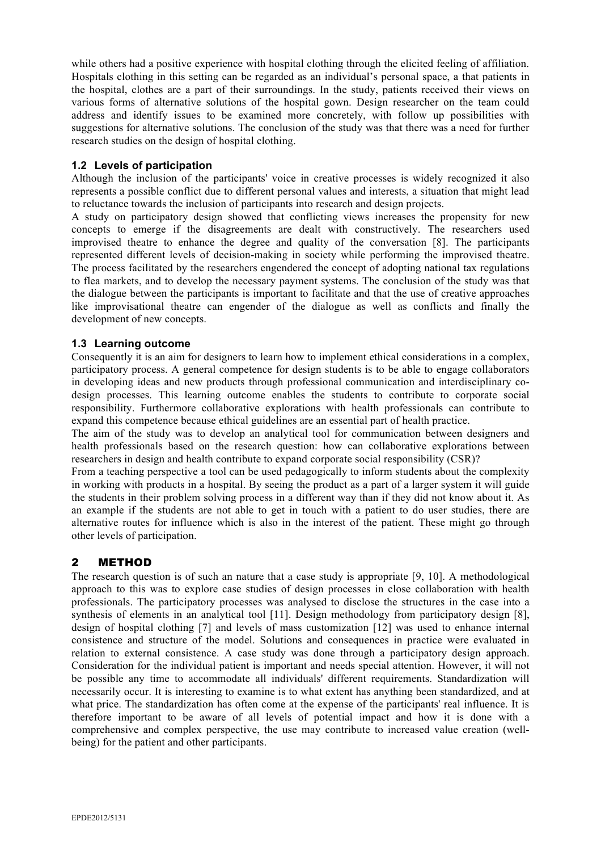while others had a positive experience with hospital clothing through the elicited feeling of affiliation. Hospitals clothing in this setting can be regarded as an individual's personal space, a that patients in the hospital, clothes are a part of their surroundings. In the study, patients received their views on various forms of alternative solutions of the hospital gown. Design researcher on the team could address and identify issues to be examined more concretely, with follow up possibilities with suggestions for alternative solutions. The conclusion of the study was that there was a need for further research studies on the design of hospital clothing.

### **1.2 Levels of participation**

Although the inclusion of the participants' voice in creative processes is widely recognized it also represents a possible conflict due to different personal values and interests, a situation that might lead to reluctance towards the inclusion of participants into research and design projects.

A study on participatory design showed that conflicting views increases the propensity for new concepts to emerge if the disagreements are dealt with constructively. The researchers used improvised theatre to enhance the degree and quality of the conversation [8]. The participants represented different levels of decision-making in society while performing the improvised theatre. The process facilitated by the researchers engendered the concept of adopting national tax regulations to flea markets, and to develop the necessary payment systems. The conclusion of the study was that the dialogue between the participants is important to facilitate and that the use of creative approaches like improvisational theatre can engender of the dialogue as well as conflicts and finally the development of new concepts.

## **1.3 Learning outcome**

Consequently it is an aim for designers to learn how to implement ethical considerations in a complex, participatory process. A general competence for design students is to be able to engage collaborators in developing ideas and new products through professional communication and interdisciplinary codesign processes. This learning outcome enables the students to contribute to corporate social responsibility. Furthermore collaborative explorations with health professionals can contribute to expand this competence because ethical guidelines are an essential part of health practice.

The aim of the study was to develop an analytical tool for communication between designers and health professionals based on the research question: how can collaborative explorations between researchers in design and health contribute to expand corporate social responsibility (CSR)?

From a teaching perspective a tool can be used pedagogically to inform students about the complexity in working with products in a hospital. By seeing the product as a part of a larger system it will guide the students in their problem solving process in a different way than if they did not know about it. As an example if the students are not able to get in touch with a patient to do user studies, there are alternative routes for influence which is also in the interest of the patient. These might go through other levels of participation.

## 2 METHOD

The research question is of such an nature that a case study is appropriate [9, 10]. A methodological approach to this was to explore case studies of design processes in close collaboration with health professionals. The participatory processes was analysed to disclose the structures in the case into a synthesis of elements in an analytical tool [11]. Design methodology from participatory design [8], design of hospital clothing [7] and levels of mass customization [12] was used to enhance internal consistence and structure of the model. Solutions and consequences in practice were evaluated in relation to external consistence. A case study was done through a participatory design approach. Consideration for the individual patient is important and needs special attention. However, it will not be possible any time to accommodate all individuals' different requirements. Standardization will necessarily occur. It is interesting to examine is to what extent has anything been standardized, and at what price. The standardization has often come at the expense of the participants' real influence. It is therefore important to be aware of all levels of potential impact and how it is done with a comprehensive and complex perspective, the use may contribute to increased value creation (wellbeing) for the patient and other participants.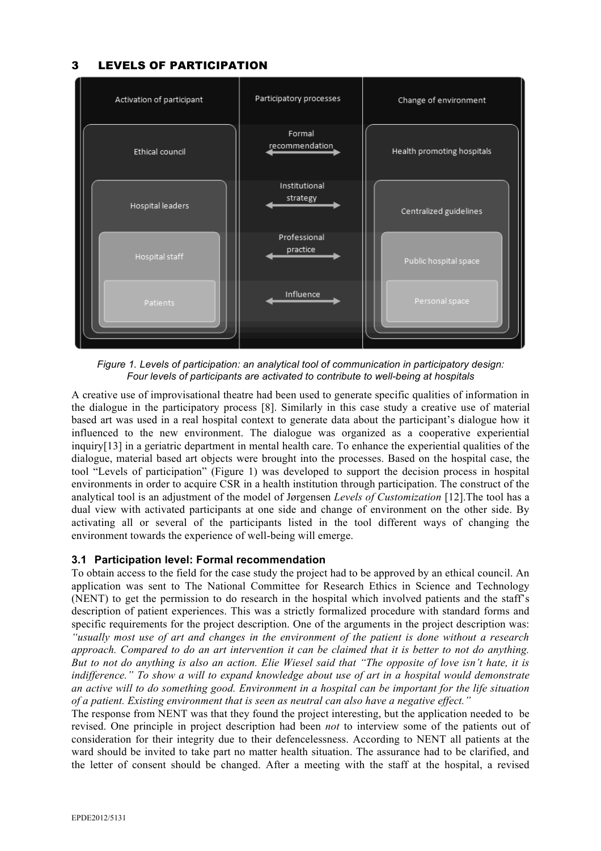## 3 LEVELS OF PARTICIPATION



*Figure 1. Levels of participation: an analytical tool of communication in participatory design: Four levels of participants are activated to contribute to well-being at hospitals*

A creative use of improvisational theatre had been used to generate specific qualities of information in the dialogue in the participatory process [8]. Similarly in this case study a creative use of material based art was used in a real hospital context to generate data about the participant's dialogue how it influenced to the new environment. The dialogue was organized as a cooperative experiential inquiry[13] in a geriatric department in mental health care. To enhance the experiential qualities of the dialogue, material based art objects were brought into the processes. Based on the hospital case, the tool "Levels of participation" (Figure 1) was developed to support the decision process in hospital environments in order to acquire CSR in a health institution through participation. The construct of the analytical tool is an adjustment of the model of Jørgensen *Levels of Customization* [12].The tool has a dual view with activated participants at one side and change of environment on the other side. By activating all or several of the participants listed in the tool different ways of changing the environment towards the experience of well-being will emerge.

## **3.1 Participation level: Formal recommendation**

To obtain access to the field for the case study the project had to be approved by an ethical council. An application was sent to The National Committee for Research Ethics in Science and Technology (NENT) to get the permission to do research in the hospital which involved patients and the staff's description of patient experiences. This was a strictly formalized procedure with standard forms and specific requirements for the project description. One of the arguments in the project description was: *"usually most use of art and changes in the environment of the patient is done without a research approach. Compared to do an art intervention it can be claimed that it is better to not do anything. But to not do anything is also an action. Elie Wiesel said that "The opposite of love isn't hate, it is indifference." To show a will to expand knowledge about use of art in a hospital would demonstrate an active will to do something good. Environment in a hospital can be important for the life situation of a patient. Existing environment that is seen as neutral can also have a negative effect."*

The response from NENT was that they found the project interesting, but the application needed to be revised. One principle in project description had been *not* to interview some of the patients out of consideration for their integrity due to their defencelessness. According to NENT all patients at the ward should be invited to take part no matter health situation. The assurance had to be clarified, and the letter of consent should be changed. After a meeting with the staff at the hospital, a revised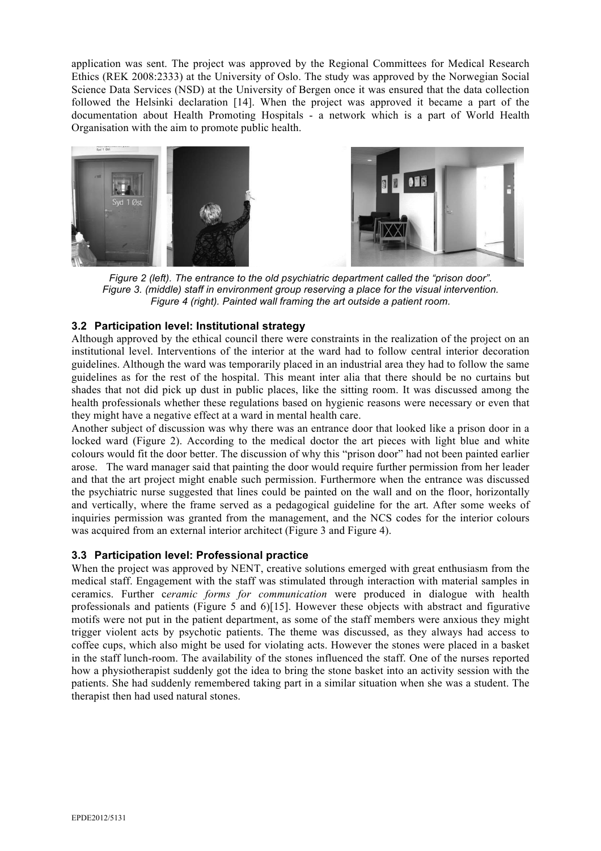application was sent. The project was approved by the Regional Committees for Medical Research Ethics (REK 2008:2333) at the University of Oslo. The study was approved by the Norwegian Social Science Data Services (NSD) at the University of Bergen once it was ensured that the data collection followed the Helsinki declaration [14]. When the project was approved it became a part of the documentation about Health Promoting Hospitals - a network which is a part of World Health Organisation with the aim to promote public health.



*Figure 2 (left). The entrance to the old psychiatric department called the "prison door". Figure 3. (middle) staff in environment group reserving a place for the visual intervention. Figure 4 (right). Painted wall framing the art outside a patient room.* 

## **3.2 Participation level: Institutional strategy**

Although approved by the ethical council there were constraints in the realization of the project on an institutional level. Interventions of the interior at the ward had to follow central interior decoration guidelines. Although the ward was temporarily placed in an industrial area they had to follow the same guidelines as for the rest of the hospital. This meant inter alia that there should be no curtains but shades that not did pick up dust in public places, like the sitting room. It was discussed among the health professionals whether these regulations based on hygienic reasons were necessary or even that they might have a negative effect at a ward in mental health care.

Another subject of discussion was why there was an entrance door that looked like a prison door in a locked ward (Figure 2). According to the medical doctor the art pieces with light blue and white colours would fit the door better. The discussion of why this "prison door" had not been painted earlier arose. The ward manager said that painting the door would require further permission from her leader and that the art project might enable such permission. Furthermore when the entrance was discussed the psychiatric nurse suggested that lines could be painted on the wall and on the floor, horizontally and vertically, where the frame served as a pedagogical guideline for the art. After some weeks of inquiries permission was granted from the management, and the NCS codes for the interior colours was acquired from an external interior architect (Figure 3 and Figure 4).

## **3.3 Participation level: Professional practice**

When the project was approved by NENT, creative solutions emerged with great enthusiasm from the medical staff. Engagement with the staff was stimulated through interaction with material samples in ceramics. Further c*eramic forms for communication* were produced in dialogue with health professionals and patients (Figure 5 and 6)[15]. However these objects with abstract and figurative motifs were not put in the patient department, as some of the staff members were anxious they might trigger violent acts by psychotic patients. The theme was discussed, as they always had access to coffee cups, which also might be used for violating acts. However the stones were placed in a basket in the staff lunch-room. The availability of the stones influenced the staff. One of the nurses reported how a physiotherapist suddenly got the idea to bring the stone basket into an activity session with the patients. She had suddenly remembered taking part in a similar situation when she was a student. The therapist then had used natural stones.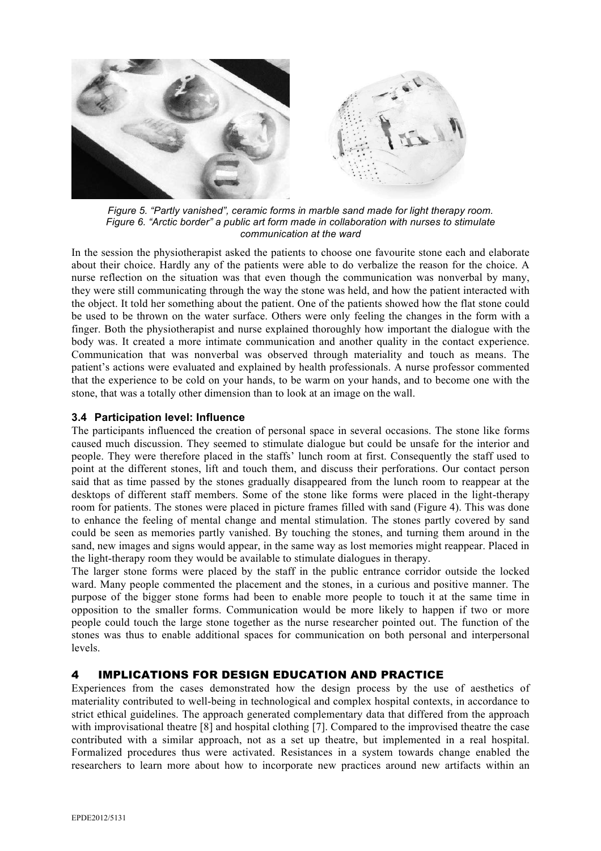

*Figure 5. "Partly vanished", ceramic forms in marble sand made for light therapy room. Figure 6. "Arctic border" a public art form made in collaboration with nurses to stimulate communication at the ward*

In the session the physiotherapist asked the patients to choose one favourite stone each and elaborate about their choice. Hardly any of the patients were able to do verbalize the reason for the choice. A nurse reflection on the situation was that even though the communication was nonverbal by many, they were still communicating through the way the stone was held, and how the patient interacted with the object. It told her something about the patient. One of the patients showed how the flat stone could be used to be thrown on the water surface. Others were only feeling the changes in the form with a finger. Both the physiotherapist and nurse explained thoroughly how important the dialogue with the body was. It created a more intimate communication and another quality in the contact experience. Communication that was nonverbal was observed through materiality and touch as means. The patient's actions were evaluated and explained by health professionals. A nurse professor commented that the experience to be cold on your hands, to be warm on your hands, and to become one with the stone, that was a totally other dimension than to look at an image on the wall.

## **3.4 Participation level: Influence**

The participants influenced the creation of personal space in several occasions. The stone like forms caused much discussion. They seemed to stimulate dialogue but could be unsafe for the interior and people. They were therefore placed in the staffs' lunch room at first. Consequently the staff used to point at the different stones, lift and touch them, and discuss their perforations. Our contact person said that as time passed by the stones gradually disappeared from the lunch room to reappear at the desktops of different staff members. Some of the stone like forms were placed in the light-therapy room for patients. The stones were placed in picture frames filled with sand (Figure 4). This was done to enhance the feeling of mental change and mental stimulation. The stones partly covered by sand could be seen as memories partly vanished. By touching the stones, and turning them around in the sand, new images and signs would appear, in the same way as lost memories might reappear. Placed in the light-therapy room they would be available to stimulate dialogues in therapy.

The larger stone forms were placed by the staff in the public entrance corridor outside the locked ward. Many people commented the placement and the stones, in a curious and positive manner. The purpose of the bigger stone forms had been to enable more people to touch it at the same time in opposition to the smaller forms. Communication would be more likely to happen if two or more people could touch the large stone together as the nurse researcher pointed out. The function of the stones was thus to enable additional spaces for communication on both personal and interpersonal levels.

## 4 IMPLICATIONS FOR DESIGN EDUCATION AND PRACTICE

Experiences from the cases demonstrated how the design process by the use of aesthetics of materiality contributed to well-being in technological and complex hospital contexts, in accordance to strict ethical guidelines. The approach generated complementary data that differed from the approach with improvisational theatre [8] and hospital clothing [7]. Compared to the improvised theatre the case contributed with a similar approach, not as a set up theatre, but implemented in a real hospital. Formalized procedures thus were activated. Resistances in a system towards change enabled the researchers to learn more about how to incorporate new practices around new artifacts within an